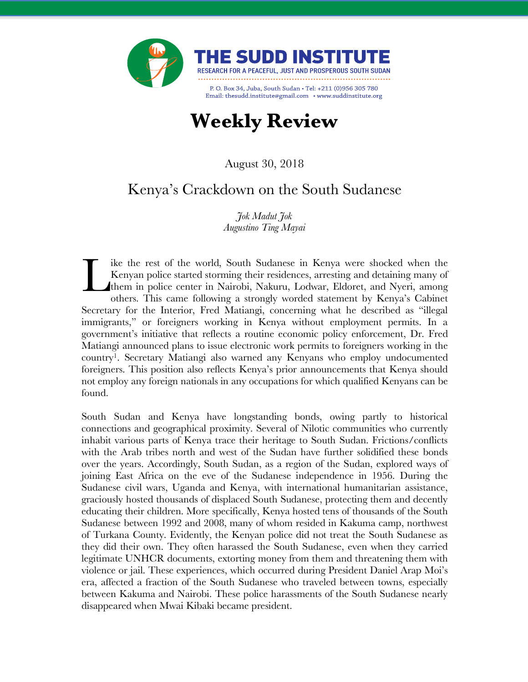

# **Weekly Review**

August 30, 2018

## Kenya's Crackdown on the South Sudanese

*Jok Madut Jok Augustino Ting Mayai*

ike the rest of the world, South Sudanese in Kenya were shocked when the Kenyan police started storming their residences, arresting and detaining many of them in police center in Nairobi, Nakuru, Lodwar, Eldoret, and Nyeri, among others. This came following a strongly worded statement by Kenya's Cabinet Secretary for the Interior, Fred Matiangi, concerning what he described as "illegal immigrants," or foreigners working in Kenya without employment permits. In a government's initiative that reflects a routine economic policy enforcement, Dr. Fred Matiangi announced plans to issue electronic work permits to foreigners working in the country1. Secretary Matiangi also warned any Kenyans who employ undocumented foreigners. This position also reflects Kenya's prior announcements that Kenya should not employ any foreign nationals in any occupations for which qualified Kenyans can be found. L

South Sudan and Kenya have longstanding bonds, owing partly to historical connections and geographical proximity. Several of Nilotic communities who currently inhabit various parts of Kenya trace their heritage to South Sudan. Frictions/conflicts with the Arab tribes north and west of the Sudan have further solidified these bonds over the years. Accordingly, South Sudan, as a region of the Sudan, explored ways of joining East Africa on the eve of the Sudanese independence in 1956. During the Sudanese civil wars, Uganda and Kenya, with international humanitarian assistance, graciously hosted thousands of displaced South Sudanese, protecting them and decently educating their children. More specifically, Kenya hosted tens of thousands of the South Sudanese between 1992 and 2008, many of whom resided in Kakuma camp, northwest of Turkana County. Evidently, the Kenyan police did not treat the South Sudanese as they did their own. They often harassed the South Sudanese, even when they carried legitimate UNHCR documents, extorting money from them and threatening them with violence or jail. These experiences, which occurred during President Daniel Arap Moi's era, affected a fraction of the South Sudanese who traveled between towns, especially between Kakuma and Nairobi. These police harassments of the South Sudanese nearly disappeared when Mwai Kibaki became president.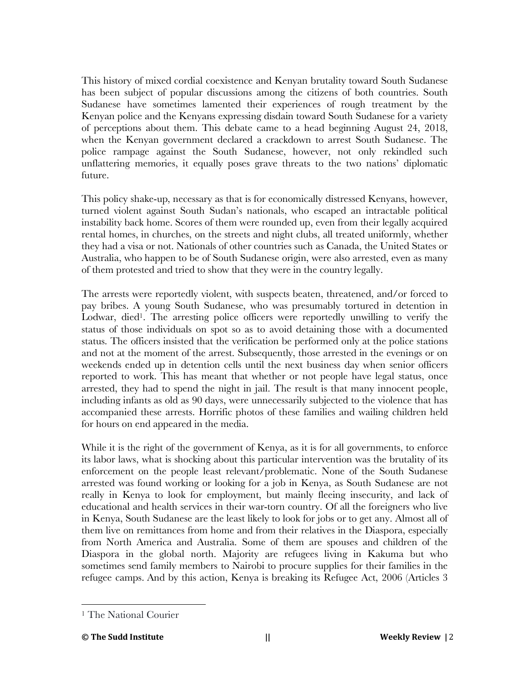This history of mixed cordial coexistence and Kenyan brutality toward South Sudanese has been subject of popular discussions among the citizens of both countries. South Sudanese have sometimes lamented their experiences of rough treatment by the Kenyan police and the Kenyans expressing disdain toward South Sudanese for a variety of perceptions about them. This debate came to a head beginning August 24, 2018, when the Kenyan government declared a crackdown to arrest South Sudanese. The police rampage against the South Sudanese, however, not only rekindled such unflattering memories, it equally poses grave threats to the two nations' diplomatic future.

This policy shake-up, necessary as that is for economically distressed Kenyans, however, turned violent against South Sudan's nationals, who escaped an intractable political instability back home. Scores of them were rounded up, even from their legally acquired rental homes, in churches, on the streets and night clubs, all treated uniformly, whether they had a visa or not. Nationals of other countries such as Canada, the United States or Australia, who happen to be of South Sudanese origin, were also arrested, even as many of them protested and tried to show that they were in the country legally.

The arrests were reportedly violent, with suspects beaten, threatened, and/or forced to pay bribes. A young South Sudanese, who was presumably tortured in detention in Lodwar, died<sup>1</sup>. The arresting police officers were reportedly unwilling to verify the status of those individuals on spot so as to avoid detaining those with a documented status. The officers insisted that the verification be performed only at the police stations and not at the moment of the arrest. Subsequently, those arrested in the evenings or on weekends ended up in detention cells until the next business day when senior officers reported to work. This has meant that whether or not people have legal status, once arrested, they had to spend the night in jail. The result is that many innocent people, including infants as old as 90 days, were unnecessarily subjected to the violence that has accompanied these arrests. Horrific photos of these families and wailing children held for hours on end appeared in the media.

While it is the right of the government of Kenya, as it is for all governments, to enforce its labor laws, what is shocking about this particular intervention was the brutality of its enforcement on the people least relevant/problematic. None of the South Sudanese arrested was found working or looking for a job in Kenya, as South Sudanese are not really in Kenya to look for employment, but mainly fleeing insecurity, and lack of educational and health services in their war-torn country. Of all the foreigners who live in Kenya, South Sudanese are the least likely to look for jobs or to get any. Almost all of them live on remittances from home and from their relatives in the Diaspora, especially from North America and Australia. Some of them are spouses and children of the Diaspora in the global north. Majority are refugees living in Kakuma but who sometimes send family members to Nairobi to procure supplies for their families in the refugee camps. And by this action, Kenya is breaking its Refugee Act, 2006 (Articles 3

 

<sup>1</sup> The National Courier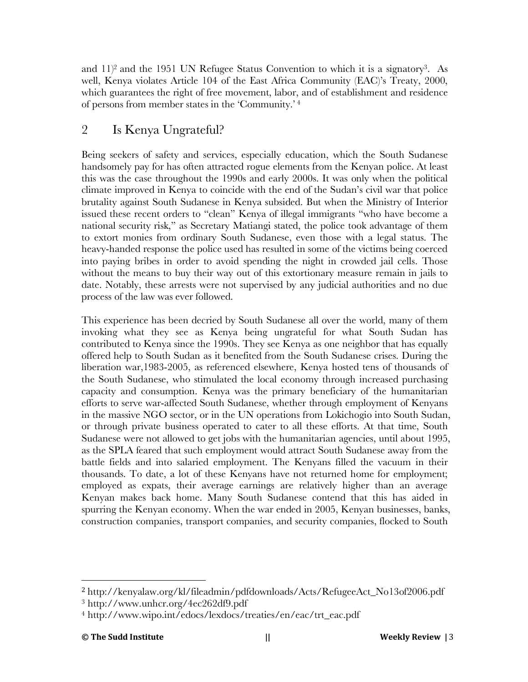and  $11$ <sup>2</sup> and the 1951 UN Refugee Status Convention to which it is a signatory<sup>3</sup>. As well, Kenya violates Article 104 of the East Africa Community (EAC)'s Treaty, 2000, which guarantees the right of free movement, labor, and of establishment and residence of persons from member states in the 'Community.' <sup>4</sup>

## 2 Is Kenya Ungrateful?

Being seekers of safety and services, especially education, which the South Sudanese handsomely pay for has often attracted rogue elements from the Kenyan police. At least this was the case throughout the 1990s and early 2000s. It was only when the political climate improved in Kenya to coincide with the end of the Sudan's civil war that police brutality against South Sudanese in Kenya subsided. But when the Ministry of Interior issued these recent orders to "clean" Kenya of illegal immigrants "who have become a national security risk," as Secretary Matiangi stated, the police took advantage of them to extort monies from ordinary South Sudanese, even those with a legal status. The heavy-handed response the police used has resulted in some of the victims being coerced into paying bribes in order to avoid spending the night in crowded jail cells. Those without the means to buy their way out of this extortionary measure remain in jails to date. Notably, these arrests were not supervised by any judicial authorities and no due process of the law was ever followed.

This experience has been decried by South Sudanese all over the world, many of them invoking what they see as Kenya being ungrateful for what South Sudan has contributed to Kenya since the 1990s. They see Kenya as one neighbor that has equally offered help to South Sudan as it benefited from the South Sudanese crises. During the liberation war,1983-2005, as referenced elsewhere, Kenya hosted tens of thousands of the South Sudanese, who stimulated the local economy through increased purchasing capacity and consumption. Kenya was the primary beneficiary of the humanitarian efforts to serve war-affected South Sudanese, whether through employment of Kenyans in the massive NGO sector, or in the UN operations from Lokichogio into South Sudan, or through private business operated to cater to all these efforts. At that time, South Sudanese were not allowed to get jobs with the humanitarian agencies, until about 1995, as the SPLA feared that such employment would attract South Sudanese away from the battle fields and into salaried employment. The Kenyans filled the vacuum in their thousands. To date, a lot of these Kenyans have not returned home for employment; employed as expats, their average earnings are relatively higher than an average Kenyan makes back home. Many South Sudanese contend that this has aided in spurring the Kenyan economy. When the war ended in 2005, Kenyan businesses, banks, construction companies, transport companies, and security companies, flocked to South

 

<sup>2</sup> http://kenyalaw.org/kl/fileadmin/pdfdownloads/Acts/RefugeeAct\_No13of2006.pdf

<sup>3</sup> http://www.unhcr.org/4ec262df9.pdf

<sup>4</sup> http://www.wipo.int/edocs/lexdocs/treaties/en/eac/trt\_eac.pdf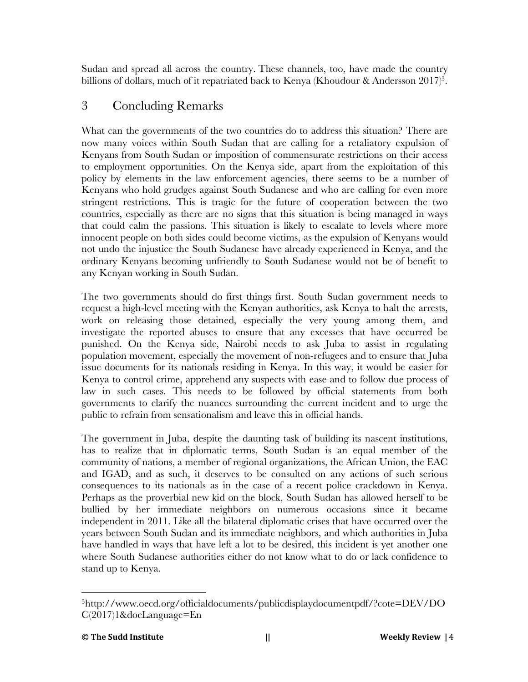Sudan and spread all across the country. These channels, too, have made the country billions of dollars, much of it repatriated back to Kenya (Khoudour & Andersson 2017)<sup>5</sup>.

### 3 Concluding Remarks

What can the governments of the two countries do to address this situation? There are now many voices within South Sudan that are calling for a retaliatory expulsion of Kenyans from South Sudan or imposition of commensurate restrictions on their access to employment opportunities. On the Kenya side, apart from the exploitation of this policy by elements in the law enforcement agencies, there seems to be a number of Kenyans who hold grudges against South Sudanese and who are calling for even more stringent restrictions. This is tragic for the future of cooperation between the two countries, especially as there are no signs that this situation is being managed in ways that could calm the passions. This situation is likely to escalate to levels where more innocent people on both sides could become victims, as the expulsion of Kenyans would not undo the injustice the South Sudanese have already experienced in Kenya, and the ordinary Kenyans becoming unfriendly to South Sudanese would not be of benefit to any Kenyan working in South Sudan.

The two governments should do first things first. South Sudan government needs to request a high-level meeting with the Kenyan authorities, ask Kenya to halt the arrests, work on releasing those detained, especially the very young among them, and investigate the reported abuses to ensure that any excesses that have occurred be punished. On the Kenya side, Nairobi needs to ask Juba to assist in regulating population movement, especially the movement of non-refugees and to ensure that Juba issue documents for its nationals residing in Kenya. In this way, it would be easier for Kenya to control crime, apprehend any suspects with ease and to follow due process of law in such cases. This needs to be followed by official statements from both governments to clarify the nuances surrounding the current incident and to urge the public to refrain from sensationalism and leave this in official hands.

The government in Juba, despite the daunting task of building its nascent institutions, has to realize that in diplomatic terms, South Sudan is an equal member of the community of nations, a member of regional organizations, the African Union, the EAC and IGAD, and as such, it deserves to be consulted on any actions of such serious consequences to its nationals as in the case of a recent police crackdown in Kenya. Perhaps as the proverbial new kid on the block, South Sudan has allowed herself to be bullied by her immediate neighbors on numerous occasions since it became independent in 2011. Like all the bilateral diplomatic crises that have occurred over the years between South Sudan and its immediate neighbors, and which authorities in Juba have handled in ways that have left a lot to be desired, this incident is yet another one where South Sudanese authorities either do not know what to do or lack confidence to stand up to Kenya.

 5http://www.oecd.org/officialdocuments/publicdisplaydocumentpdf/?cote=DEV/DO C(2017)1&docLanguage=En